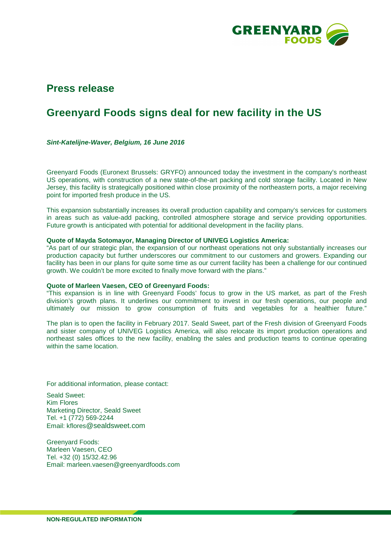

## **Press release**

# **Greenyard Foods signs deal for new facility in the US**

**Sint-Katelijne-Waver, Belgium, 16 June 2016** 

Greenyard Foods (Euronext Brussels: GRYFO) announced today the investment in the company's northeast US operations, with construction of a new state-of-the-art packing and cold storage facility. Located in New Jersey, this facility is strategically positioned within close proximity of the northeastern ports, a major receiving point for imported fresh produce in the US.

This expansion substantially increases its overall production capability and company's services for customers in areas such as value-add packing, controlled atmosphere storage and service providing opportunities. Future growth is anticipated with potential for additional development in the facility plans.

## **Quote of Mayda Sotomayor, Managing Director of UNIVEG Logistics America:**

"As part of our strategic plan, the expansion of our northeast operations not only substantially increases our production capacity but further underscores our commitment to our customers and growers. Expanding our facility has been in our plans for quite some time as our current facility has been a challenge for our continued growth. We couldn't be more excited to finally move forward with the plans."

#### **Quote of Marleen Vaesen, CEO of Greenyard Foods:**

"This expansion is in line with Greenyard Foods' focus to grow in the US market, as part of the Fresh division's growth plans. It underlines our commitment to invest in our fresh operations, our people and ultimately our mission to grow consumption of fruits and vegetables for a healthier future."

The plan is to open the facility in February 2017. Seald Sweet, part of the Fresh division of Greenyard Foods and sister company of UNIVEG Logistics America, will also relocate its import production operations and northeast sales offices to the new facility, enabling the sales and production teams to continue operating within the same location.

For additional information, please contact:

Seald Sweet: Kim Flores Marketing Director, Seald Sweet Tel. +1 (772) 569-2244 Email: kflores@sealdsweet.com

Greenyard Foods: Marleen Vaesen, CEO Tel. +32 (0) 15/32.42.96 Email: marleen.vaesen@greenyardfoods.com